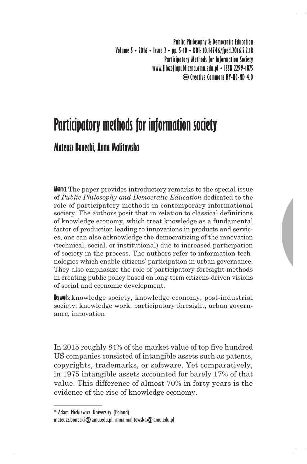**Public Philosophy & Democratic Education Volume 5 • 2016 • Issue 2 • pp. 5-10 • DOI: 10.14746/fped.2016.5.2.18 Participatory Methods for Information Society www.filozofiapubliczna.amu.edu.pl • ISSN 2299-1875 Creative Commons BY-NC-ND 4.0**

# **Participatory methods for information society**

## **Mateusz Bonecki, Anna Malitowska**

**Abstract.** The paper provides introductory remarks to the special issue of *Public Philosophy and Democratic Education* dedicated to the role of participatory methods in contemporary informational society. The authors posit that in relation to classical definitions of knowledge economy, which treat knowledge as a fundamental factor of production leading to innovations in products and services, one can also acknowledge the democratizing of the innovation (technical, social, or institutional) due to increased participation of society in the process. The authors refer to information technologies which enable citizens' participation in urban governance. They also emphasize the role of participatory-foresight methods in creating public policy based on long-term citizens-driven visions of social and economic development.

**Keywords:** knowledge society, knowledge economy, post-industrial society, knowledge work, participatory foresight, urban governance, innovation

In 2015 roughly 84% of the market value of top five hundred US companies consisted of intangible assets such as patents, copyrights, trademarks, or software. Yet comparatively, in 1975 intangible assets accounted for barely 17% of that value. This difference of almost 70% in forty years is the evidence of the rise of knowledge economy.

<sup>\*</sup> Adam Mickiewicz University (Poland) mateusz.bonecki@amu.edu.pl; anna.malitowska@amu.edu.pl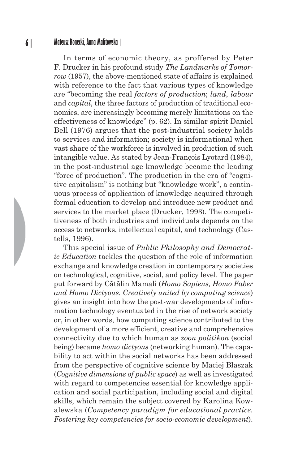#### **6 | Mateusz Bonecki, Anna Malitowska |**

In terms of economic theory, as proffered by Peter F. Drucker in his profound study *The Landmarks of Tomorrow* (1957), the above-mentioned state of affairs is explained with reference to the fact that various types of knowledge are "becoming the real *factors of production*; *land*, *labour* and *capital*, the three factors of production of traditional economics, are increasingly becoming merely limitations on the effectiveness of knowledge" (p. 62). In similar spirit Daniel Bell (1976) argues that the post-industrial society holds to services and information; society is informational when vast share of the workforce is involved in production of such intangible value. As stated by Jean-François Lyotard (1984), in the post-industrial age knowledge became the leading "force of production". The production in the era of "cognitive capitalism" is nothing but "knowledge work", a continuous process of application of knowledge acquired through formal education to develop and introduce new product and services to the market place (Drucker, 1993). The competitiveness of both industries and individuals depends on the access to networks, intellectual capital, and technology (Castells, 1996).

This special issue of *Public Philosophy and Democratic Education* tackles the question of the role of information exchange and knowledge creation in contemporary societies on technological, cognitive, social, and policy level. The paper put forward by Cătălin Mamali (*Homo Sapiens, Homo Faber and Homo Dictyous. Creatively united by computing science*) gives an insight into how the post-war developments of information technology eventuated in the rise of network society or, in other words, how computing science contributed to the development of a more efficient, creative and comprehensive connectivity due to which human as *zoon politikon* (social being) became *homo dictyous* (networking human). The capability to act within the social networks has been addressed from the perspective of cognitive science by Maciej Błaszak (*Cognitive dimensions of public space*) as well as investigated with regard to competencies essential for knowledge application and social participation, including social and digital skills, which remain the subject covered by Karolina Kowalewska (*Competency paradigm for educational practice. Fostering key competencies for socio-economic development*).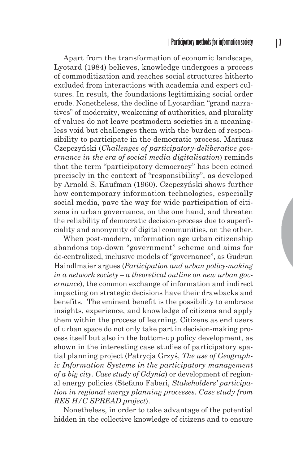Apart from the transformation of economic landscape, Lyotard (1984) believes, knowledge undergoes a process of commoditization and reaches social structures hitherto excluded from interactions with academia and expert cultures. In result, the foundations legitimizing social order erode. Nonetheless, the decline of Lyotardian "grand narratives" of modernity, weakening of authorities, and plurality of values do not leave postmodern societies in a meaningless void but challenges them with the burden of responsibility to participate in the democratic process. Mariusz Czepczyński (*Challenges of participatory-deliberative governance in the era of social media digitalisation*) reminds that the term "participatory democracy" has been coined precisely in the context of "responsibility", as developed by Arnold S. Kaufman (1960). Czepczyński shows further how contemporary information technologies, especially social media, pave the way for wide participation of citizens in urban governance, on the one hand, and threaten the reliability of democratic decision-process due to superficiality and anonymity of digital communities, on the other.

When post-modern, information age urban citizenship abandons top-down "government" scheme and aims for de-centralized, inclusive models of "governance", as Gudrun Haindlmaier argues (*Participation and urban policy-making in a network society – a theoretical outline on new urban governance*), the common exchange of information and indirect impacting on strategic decisions have their drawbacks and benefits. The eminent benefit is the possibility to embrace insights, experience, and knowledge of citizens and apply them within the process of learning. Citizens as end users of urban space do not only take part in decision-making process itself but also in the bottom-up policy development, as shown in the interesting case studies of participatory spatial planning project (Patrycja Grzyś, *The use of Geographic Information Systems in the participatory management of a big city. Case study of Gdynia*) or development of regional energy policies (Stefano Faberi, *Stakeholders' participation in regional energy planning processes. Case study from RES H/C SPREAD project*).

Nonetheless, in order to take advantage of the potential hidden in the collective knowledge of citizens and to ensure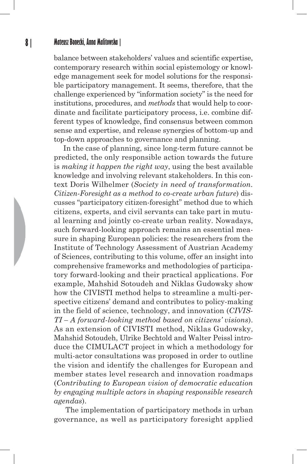#### **8 | Mateusz Bonecki, Anna Malitowska |**

balance between stakeholders' values and scientific expertise, contemporary research within social epistemology or knowledge management seek for model solutions for the responsible participatory management. It seems, therefore, that the challenge experienced by "information society" is the need for institutions, procedures, and *methods* that would help to coordinate and facilitate participatory process, i.e. combine different types of knowledge, find consensus between common sense and expertise, and release synergies of bottom-up and top-down approaches to governance and planning.

In the case of planning, since long-term future cannot be predicted, the only responsible action towards the future is *making it happen the right way*, using the best available knowledge and involving relevant stakeholders. In this context Doris Wilhelmer (*Society in need of transformation. Citizen-Foresight as a method to co-create urban future*) discusses "participatory citizen-foresight" method due to which citizens, experts, and civil servants can take part in mutual learning and jointly co-create urban reality. Nowadays, such forward-looking approach remains an essential measure in shaping European policies: the researchers from the Institute of Technology Assessment of Austrian Academy of Sciences, contributing to this volume, offer an insight into comprehensive frameworks and methodologies of participatory forward-looking and their practical applications. For example, Mahshid Sotoudeh and Niklas Gudowsky show how the CIVISTI method helps to streamline a multi-perspective citizens' demand and contributes to policy-making in the field of science, technology, and innovation (*CIVIS-TI – A forward-looking method based on citizens' visions*). As an extension of CIVISTI method, Niklas Gudowsky, Mahshid Sotoudeh, Ulrike Bechtold and Walter Peissl introduce the CIMULACT project in which a methodology for multi-actor consultations was proposed in order to outline the vision and identify the challenges for European and member states level research and innovation roadmaps (*Contributing to European vision of democratic education by engaging multiple actors in shaping responsible research agendas*).

 The implementation of participatory methods in urban governance, as well as participatory foresight applied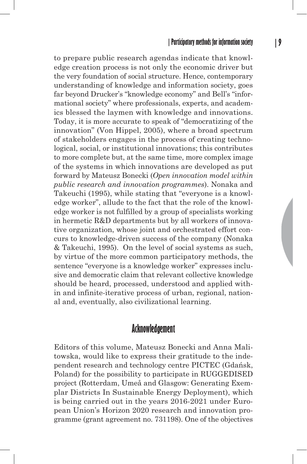to prepare public research agendas indicate that knowledge creation process is not only the economic driver but the very foundation of social structure. Hence, contemporary understanding of knowledge and information society, goes far beyond Drucker's "knowledge economy" and Bell's "informational society" where professionals, experts, and academics blessed the laymen with knowledge and innovations. Today, it is more accurate to speak of "democratizing of the innovation" (Von Hippel, 2005), where a broad spectrum of stakeholders engages in the process of creating technological, social, or institutional innovations; this contributes to more complete but, at the same time, more complex image of the systems in which innovations are developed as put forward by Mateusz Bonecki (*Open innovation model within public research and innovation programmes*). Nonaka and Takeuchi (1995), while stating that "everyone is a knowledge worker", allude to the fact that the role of the knowledge worker is not fulfilled by a group of specialists working in hermetic R&D departments but by all workers of innovative organization, whose joint and orchestrated effort concurs to knowledge-driven success of the company (Nonaka & Takeuchi, 1995). On the level of social systems as such, by virtue of the more common participatory methods, the sentence "everyone is a knowledge worker" expresses inclusive and democratic claim that relevant collective knowledge should be heard, processed, understood and applied within and infinite-iterative process of urban, regional, national and, eventually, also civilizational learning.

### **Acknowledgement**

Editors of this volume, Mateusz Bonecki and Anna Malitowska, would like to express their gratitude to the independent research and technology centre PICTEC (Gdańsk, Poland) for the possibility to participate in RUGGEDISED project (Rotterdam, Umeå and Glasgow: Generating Exemplar Districts In Sustainable Energy Deployment), which is being carried out in the years 2016-2021 under European Union's Horizon 2020 research and innovation programme (grant agreement no. 731198). One of the objectives